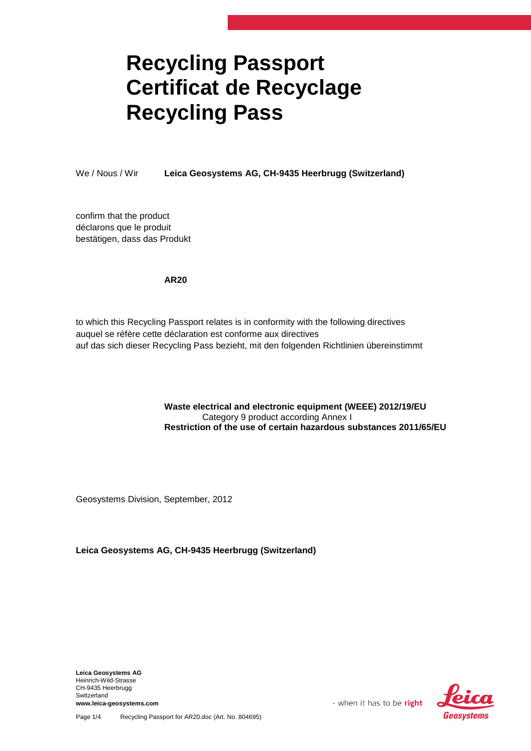## **Recycling Passport Certificat de Recyclage Recycling Pass**

We / Nous / Wir **Leica Geosystems AG, CH-9435 Heerbrugg (Switzerland)**

confirm that the product déclarons que le produit bestätigen, dass das Produkt

## **AR20**

to which this Recycling Passport relates is in conformity with the following directives auquel se réfère cette déclaration est conforme aux directives auf das sich dieser Recycling Pass bezieht, mit den folgenden Richtlinien übereinstimmt

## **Waste electrical and electronic equipment (WEEE) 2012/19/EU** Category 9 product according Annex I **Restriction of the use of certain hazardous substances 2011/65/EU**

Geosystems Division, September, 2012

**Leica Geosystems AG, CH-9435 Heerbrugg (Switzerland)**

**Leica Geosystems AG** Heinrich-Wild-Strasse CH-9435 Heerbrugg Switzerland **www.leica-geosystems.com**



- when it has to be right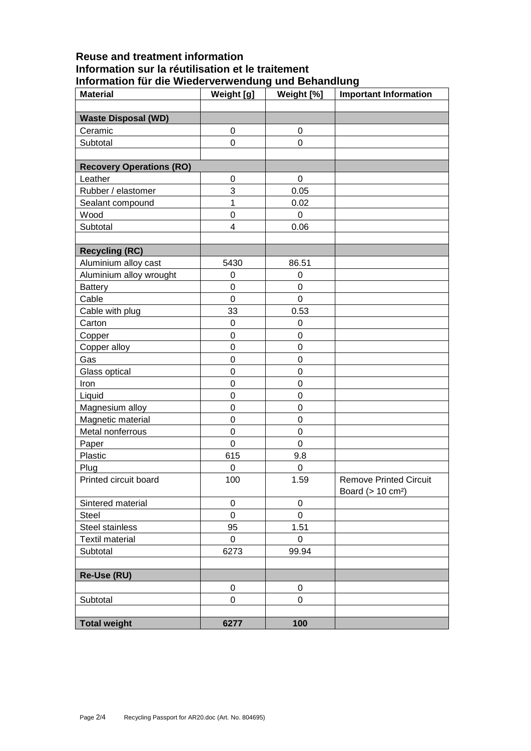## **Reuse and treatment information Information sur la réutilisation et le traitement Information für die Wiederverwendung und Behandlung**

| <b>Material</b>                 | Weight [g]       | Weight [%]       | <b>Important Information</b>                                   |
|---------------------------------|------------------|------------------|----------------------------------------------------------------|
|                                 |                  |                  |                                                                |
| <b>Waste Disposal (WD)</b>      |                  |                  |                                                                |
| Ceramic                         | $\mathbf 0$      | $\mathbf 0$      |                                                                |
| Subtotal                        | $\mathbf 0$      | 0                |                                                                |
|                                 |                  |                  |                                                                |
| <b>Recovery Operations (RO)</b> |                  |                  |                                                                |
| Leather                         | $\mathbf 0$      | 0                |                                                                |
| Rubber / elastomer              | 3                | 0.05             |                                                                |
| Sealant compound                | 1                | 0.02             |                                                                |
| Wood                            | $\mathbf 0$      | 0                |                                                                |
| Subtotal                        | 4                | 0.06             |                                                                |
|                                 |                  |                  |                                                                |
| <b>Recycling (RC)</b>           |                  |                  |                                                                |
| Aluminium alloy cast            | 5430             | 86.51            |                                                                |
| Aluminium alloy wrought         | $\mathbf 0$      | $\mathbf 0$      |                                                                |
| <b>Battery</b>                  | 0                | 0                |                                                                |
| Cable                           | $\mathbf 0$      | $\mathbf 0$      |                                                                |
| Cable with plug                 | 33               | 0.53             |                                                                |
| Carton                          | $\boldsymbol{0}$ | $\mathbf 0$      |                                                                |
| Copper                          | 0                | 0                |                                                                |
| Copper alloy                    | $\mathbf 0$      | 0                |                                                                |
| Gas                             | $\mathbf 0$      | 0                |                                                                |
| Glass optical                   | $\mathbf 0$      | $\mathbf 0$      |                                                                |
| Iron                            | $\mathbf 0$      | $\mathbf 0$      |                                                                |
| Liquid                          | $\mathbf 0$      | $\mathbf 0$      |                                                                |
| Magnesium alloy                 | $\mathbf 0$      | $\mathbf 0$      |                                                                |
| Magnetic material               | $\boldsymbol{0}$ | $\mathbf 0$      |                                                                |
| Metal nonferrous                | $\mathbf 0$      | 0                |                                                                |
| Paper                           | $\mathbf 0$      | 0                |                                                                |
| Plastic                         | 615              | 9.8              |                                                                |
| Plug                            | $\boldsymbol{0}$ | 0                |                                                                |
| Printed circuit board           | 100              | 1.59             | <b>Remove Printed Circuit</b><br>Board (> 10 cm <sup>2</sup> ) |
| Sintered material               | 0                | $\mathbf 0$      |                                                                |
| <b>Steel</b>                    | $\boldsymbol{0}$ | $\pmb{0}$        |                                                                |
| Steel stainless                 | 95               | 1.51             |                                                                |
| <b>Textil material</b>          | 0                | $\mathbf 0$      |                                                                |
| Subtotal                        | 6273             | 99.94            |                                                                |
|                                 |                  |                  |                                                                |
| Re-Use (RU)                     |                  |                  |                                                                |
|                                 | 0                | $\boldsymbol{0}$ |                                                                |
| Subtotal                        | $\mathbf 0$      | 0                |                                                                |
|                                 |                  |                  |                                                                |
| <b>Total weight</b>             | 6277             | 100              |                                                                |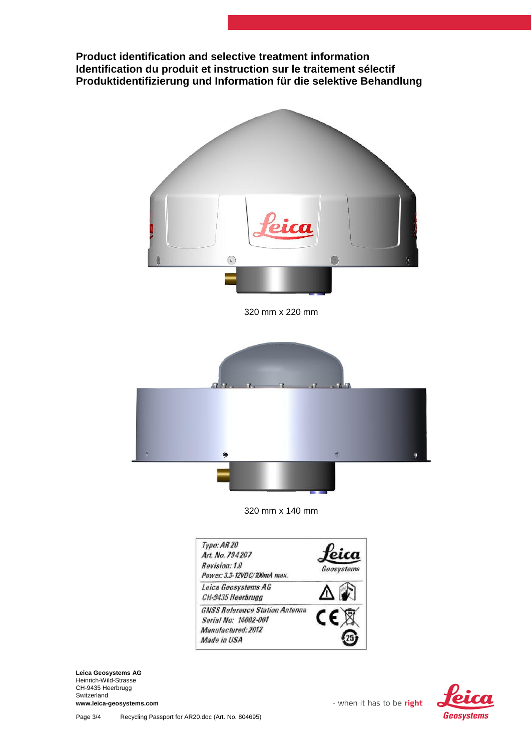**Product identification and selective treatment information Identification du produit et instruction sur le traitement sélectif Produktidentifizierung und Information für die selektive Behandlung**



320 mm x 220 mm



320 mm x 140 mm



**Leica Geosystems AG** Heinrich-Wild-Strasse CH-9435 Heerbrugg Switzerland **www.leica-geosystems.com**